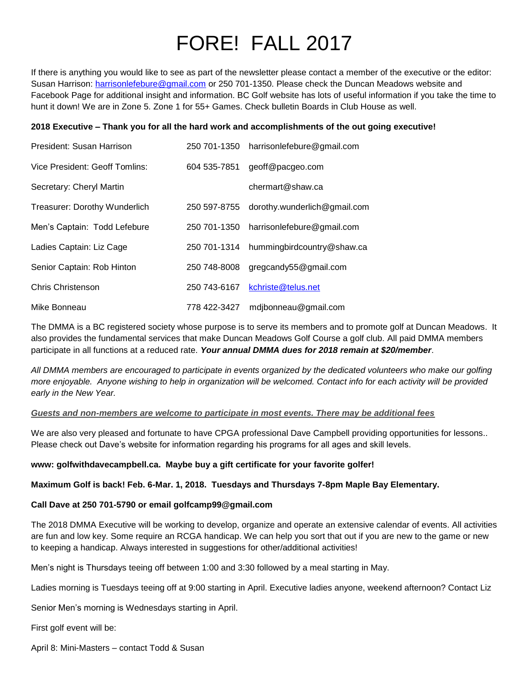# FORE! FALL 2017

If there is anything you would like to see as part of the newsletter please contact a member of the executive or the editor: Susan Harrison: [harrisonlefebure@gmail.com](mailto:harrisonlefebure@gmail.com) or 250 701-1350. Please check the Duncan Meadows website and Facebook Page for additional insight and information. BC Golf website has lots of useful information if you take the time to hunt it down! We are in Zone 5. Zone 1 for 55+ Games. Check bulletin Boards in Club House as well.

## **2018 Executive – Thank you for all the hard work and accomplishments of the out going executive!**

| President: Susan Harrison            | 250 701-1350 | harrisonlefebure@gmail.com   |
|--------------------------------------|--------------|------------------------------|
| Vice President: Geoff Tomlins:       | 604 535-7851 | geoff@pacgeo.com             |
| Secretary: Cheryl Martin             |              | chermart@shaw.ca             |
| <b>Treasurer: Dorothy Wunderlich</b> | 250 597-8755 | dorothy.wunderlich@gmail.com |
| Men's Captain: Todd Lefebure         | 250 701-1350 | harrisonlefebure@gmail.com   |
| Ladies Captain: Liz Cage             | 250 701-1314 | hummingbirdcountry@shaw.ca   |
| Senior Captain: Rob Hinton           | 250 748-8008 | gregcandy55@gmail.com        |
| Chris Christenson                    | 250 743-6167 | kchriste@telus.net           |
| Mike Bonneau                         | 778 422-3427 | mdjbonneau@gmail.com         |

The DMMA is a BC registered society whose purpose is to serve its members and to promote golf at Duncan Meadows. It also provides the fundamental services that make Duncan Meadows Golf Course a golf club. All paid DMMA members participate in all functions at a reduced rate. *Your annual DMMA dues for 2018 remain at \$20/member*.

*All DMMA members are encouraged to participate in events organized by the dedicated volunteers who make our golfing more enjoyable. Anyone wishing to help in organization will be welcomed. Contact info for each activity will be provided early in the New Year.*

### *Guests and non-members are welcome to participate in most events. There may be additional fees*

We are also very pleased and fortunate to have CPGA professional Dave Campbell providing opportunities for lessons.. Please check out Dave's website for information regarding his programs for all ages and skill levels.

### **www: golfwithdavecampbell.ca. Maybe buy a gift certificate for your favorite golfer!**

### **Maximum Golf is back! Feb. 6-Mar. 1, 2018. Tuesdays and Thursdays 7-8pm Maple Bay Elementary.**

### **Call Dave at 250 701-5790 or email golfcamp99@gmail.com**

The 2018 DMMA Executive will be working to develop, organize and operate an extensive calendar of events. All activities are fun and low key. Some require an RCGA handicap. We can help you sort that out if you are new to the game or new to keeping a handicap. Always interested in suggestions for other/additional activities!

Men's night is Thursdays teeing off between 1:00 and 3:30 followed by a meal starting in May.

Ladies morning is Tuesdays teeing off at 9:00 starting in April. Executive ladies anyone, weekend afternoon? Contact Liz

Senior Men's morning is Wednesdays starting in April.

First golf event will be:

April 8: Mini-Masters – contact Todd & Susan